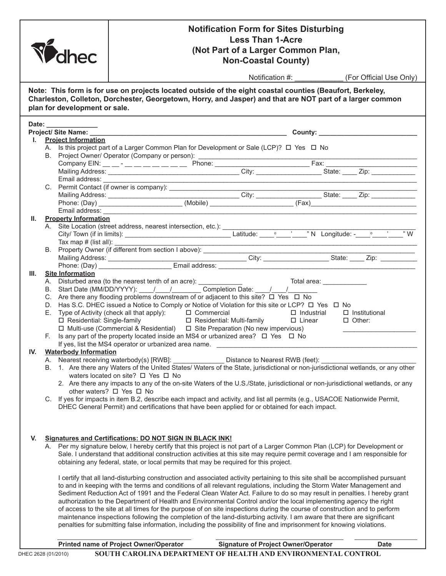| dhec                |  |                               | <b>Notification Form for Sites Disturbing</b><br><b>Less Than 1-Acre</b><br>(Not Part of a Larger Common Plan,<br><b>Non-Coastal County)</b>                                                                                                                                                                                                                                                                                                                                                                                                                                                                                                                                                                                                                                                                                                                                                 |  |                                                                                                                        |  |                                         |  |
|---------------------|--|-------------------------------|----------------------------------------------------------------------------------------------------------------------------------------------------------------------------------------------------------------------------------------------------------------------------------------------------------------------------------------------------------------------------------------------------------------------------------------------------------------------------------------------------------------------------------------------------------------------------------------------------------------------------------------------------------------------------------------------------------------------------------------------------------------------------------------------------------------------------------------------------------------------------------------------|--|------------------------------------------------------------------------------------------------------------------------|--|-----------------------------------------|--|
|                     |  |                               |                                                                                                                                                                                                                                                                                                                                                                                                                                                                                                                                                                                                                                                                                                                                                                                                                                                                                              |  |                                                                                                                        |  | Notification #: (For Official Use Only) |  |
|                     |  | plan for development or sale. | Note: This form is for use on projects located outside of the eight coastal counties (Beaufort, Berkeley,<br>Charleston, Colleton, Dorchester, Georgetown, Horry, and Jasper) and that are NOT part of a larger common                                                                                                                                                                                                                                                                                                                                                                                                                                                                                                                                                                                                                                                                       |  |                                                                                                                        |  |                                         |  |
|                     |  | Date: _________               |                                                                                                                                                                                                                                                                                                                                                                                                                                                                                                                                                                                                                                                                                                                                                                                                                                                                                              |  |                                                                                                                        |  |                                         |  |
| L.                  |  | <b>Project Information</b>    | A. Is this project part of a Larger Common Plan for Development or Sale (LCP)? □ Yes □ No                                                                                                                                                                                                                                                                                                                                                                                                                                                                                                                                                                                                                                                                                                                                                                                                    |  |                                                                                                                        |  |                                         |  |
|                     |  |                               |                                                                                                                                                                                                                                                                                                                                                                                                                                                                                                                                                                                                                                                                                                                                                                                                                                                                                              |  |                                                                                                                        |  |                                         |  |
|                     |  |                               |                                                                                                                                                                                                                                                                                                                                                                                                                                                                                                                                                                                                                                                                                                                                                                                                                                                                                              |  |                                                                                                                        |  |                                         |  |
|                     |  |                               |                                                                                                                                                                                                                                                                                                                                                                                                                                                                                                                                                                                                                                                                                                                                                                                                                                                                                              |  |                                                                                                                        |  |                                         |  |
|                     |  |                               |                                                                                                                                                                                                                                                                                                                                                                                                                                                                                                                                                                                                                                                                                                                                                                                                                                                                                              |  |                                                                                                                        |  |                                         |  |
|                     |  |                               |                                                                                                                                                                                                                                                                                                                                                                                                                                                                                                                                                                                                                                                                                                                                                                                                                                                                                              |  |                                                                                                                        |  |                                         |  |
|                     |  |                               |                                                                                                                                                                                                                                                                                                                                                                                                                                                                                                                                                                                                                                                                                                                                                                                                                                                                                              |  |                                                                                                                        |  |                                         |  |
| Ш.                  |  | <b>Property Information</b>   | Email address: <u>________________________________</u>                                                                                                                                                                                                                                                                                                                                                                                                                                                                                                                                                                                                                                                                                                                                                                                                                                       |  |                                                                                                                        |  |                                         |  |
|                     |  |                               |                                                                                                                                                                                                                                                                                                                                                                                                                                                                                                                                                                                                                                                                                                                                                                                                                                                                                              |  |                                                                                                                        |  |                                         |  |
|                     |  |                               |                                                                                                                                                                                                                                                                                                                                                                                                                                                                                                                                                                                                                                                                                                                                                                                                                                                                                              |  |                                                                                                                        |  |                                         |  |
|                     |  |                               |                                                                                                                                                                                                                                                                                                                                                                                                                                                                                                                                                                                                                                                                                                                                                                                                                                                                                              |  | <u> 1989 - Johann Stoff, deutscher Stoffen und der Stoffen und der Stoffen und der Stoffen und der Stoffen und der</u> |  |                                         |  |
|                     |  |                               |                                                                                                                                                                                                                                                                                                                                                                                                                                                                                                                                                                                                                                                                                                                                                                                                                                                                                              |  |                                                                                                                        |  |                                         |  |
|                     |  |                               |                                                                                                                                                                                                                                                                                                                                                                                                                                                                                                                                                                                                                                                                                                                                                                                                                                                                                              |  |                                                                                                                        |  |                                         |  |
| Ш.                  |  | <b>Site Information</b>       |                                                                                                                                                                                                                                                                                                                                                                                                                                                                                                                                                                                                                                                                                                                                                                                                                                                                                              |  |                                                                                                                        |  |                                         |  |
|                     |  |                               |                                                                                                                                                                                                                                                                                                                                                                                                                                                                                                                                                                                                                                                                                                                                                                                                                                                                                              |  |                                                                                                                        |  |                                         |  |
|                     |  |                               | C. Are there any flooding problems downstream of or adjacent to this site? $\Box$ Yes $\Box$ No                                                                                                                                                                                                                                                                                                                                                                                                                                                                                                                                                                                                                                                                                                                                                                                              |  |                                                                                                                        |  |                                         |  |
|                     |  |                               | D. Has S.C. DHEC issued a Notice to Comply or Notice of Violation for this site or LCP? □ Yes □ No<br>E. Type of Activity (check all that apply): $\Box$ Commercial                                                                                                                                                                                                                                                                                                                                                                                                                                                                                                                                                                                                                                                                                                                          |  |                                                                                                                        |  | $\Box$ Industrial $\Box$ Institutional  |  |
|                     |  |                               | □ Residential: Single-family □ Residential: Multi-family                                                                                                                                                                                                                                                                                                                                                                                                                                                                                                                                                                                                                                                                                                                                                                                                                                     |  |                                                                                                                        |  | □ Linear □ Other:                       |  |
|                     |  |                               | $\Box$ Multi-use (Commercial & Residential) $\Box$ Site Preparation (No new impervious)                                                                                                                                                                                                                                                                                                                                                                                                                                                                                                                                                                                                                                                                                                                                                                                                      |  |                                                                                                                        |  |                                         |  |
|                     |  |                               | F. Is any part of the property located inside an MS4 or urbanized area? $\Box$ Yes $\Box$ No<br>If yes, list the MS4 operator or urbanized area name.                                                                                                                                                                                                                                                                                                                                                                                                                                                                                                                                                                                                                                                                                                                                        |  |                                                                                                                        |  |                                         |  |
| IV.                 |  | <b>Waterbody Information</b>  |                                                                                                                                                                                                                                                                                                                                                                                                                                                                                                                                                                                                                                                                                                                                                                                                                                                                                              |  |                                                                                                                        |  |                                         |  |
|                     |  |                               | A. Nearest receiving waterbody(s) [RWB]:                                                                                                                                                                                                                                                                                                                                                                                                                                                                                                                                                                                                                                                                                                                                                                                                                                                     |  | Distance to Nearest RWB (feet):                                                                                        |  |                                         |  |
|                     |  |                               | B. 1. Are there any Waters of the United States/ Waters of the State, jurisdictional or non-jurisdictional wetlands, or any other<br>waters located on site? $\Box$ Yes $\Box$ No                                                                                                                                                                                                                                                                                                                                                                                                                                                                                                                                                                                                                                                                                                            |  |                                                                                                                        |  |                                         |  |
|                     |  |                               | 2. Are there any impacts to any of the on-site Waters of the U.S./State, jurisdictional or non-jurisdictional wetlands, or any                                                                                                                                                                                                                                                                                                                                                                                                                                                                                                                                                                                                                                                                                                                                                               |  |                                                                                                                        |  |                                         |  |
|                     |  |                               | other waters? □ Yes □ No                                                                                                                                                                                                                                                                                                                                                                                                                                                                                                                                                                                                                                                                                                                                                                                                                                                                     |  |                                                                                                                        |  |                                         |  |
|                     |  |                               | C. If yes for impacts in item B.2, describe each impact and activity, and list all permits (e.g., USACOE Nationwide Permit,<br>DHEC General Permit) and certifications that have been applied for or obtained for each impact.                                                                                                                                                                                                                                                                                                                                                                                                                                                                                                                                                                                                                                                               |  |                                                                                                                        |  |                                         |  |
|                     |  |                               |                                                                                                                                                                                                                                                                                                                                                                                                                                                                                                                                                                                                                                                                                                                                                                                                                                                                                              |  |                                                                                                                        |  |                                         |  |
|                     |  |                               |                                                                                                                                                                                                                                                                                                                                                                                                                                                                                                                                                                                                                                                                                                                                                                                                                                                                                              |  |                                                                                                                        |  |                                         |  |
| V.                  |  |                               | <b>Signatures and Certifications: DO NOT SIGN IN BLACK INK!</b>                                                                                                                                                                                                                                                                                                                                                                                                                                                                                                                                                                                                                                                                                                                                                                                                                              |  |                                                                                                                        |  |                                         |  |
|                     |  |                               | A. Per my signature below, I hereby certify that this project is not part of a Larger Common Plan (LCP) for Development or                                                                                                                                                                                                                                                                                                                                                                                                                                                                                                                                                                                                                                                                                                                                                                   |  |                                                                                                                        |  |                                         |  |
|                     |  |                               | Sale. I understand that additional construction activities at this site may require permit coverage and I am responsible for<br>obtaining any federal, state, or local permits that may be required for this project.                                                                                                                                                                                                                                                                                                                                                                                                                                                                                                                                                                                                                                                                        |  |                                                                                                                        |  |                                         |  |
|                     |  |                               | I certify that all land-disturbing construction and associated activity pertaining to this site shall be accomplished pursuant<br>to and in keeping with the terms and conditions of all relevant regulations, including the Storm Water Management and<br>Sediment Reduction Act of 1991 and the Federal Clean Water Act. Failure to do so may result in penalties. I hereby grant<br>authorization to the Department of Health and Environmental Control and/or the local implementing agency the right<br>of access to the site at all times for the purpose of on site inspections during the course of construction and to perform<br>maintenance inspections following the completion of the land-disturbing activity. I am aware that there are significant<br>penalties for submitting false information, including the possibility of fine and imprisonment for knowing violations. |  |                                                                                                                        |  |                                         |  |
|                     |  |                               |                                                                                                                                                                                                                                                                                                                                                                                                                                                                                                                                                                                                                                                                                                                                                                                                                                                                                              |  |                                                                                                                        |  |                                         |  |
|                     |  |                               | Printed name of Project Owner/Operator                                                                                                                                                                                                                                                                                                                                                                                                                                                                                                                                                                                                                                                                                                                                                                                                                                                       |  | <b>Signature of Project Owner/Operator</b>                                                                             |  | <b>Date</b>                             |  |
| DHEC 2628 (01/2010) |  |                               | SOUTH CAROLINA DEPARTMENT OF HEALTH AND ENVIRONMENTAL CONTROL                                                                                                                                                                                                                                                                                                                                                                                                                                                                                                                                                                                                                                                                                                                                                                                                                                |  |                                                                                                                        |  |                                         |  |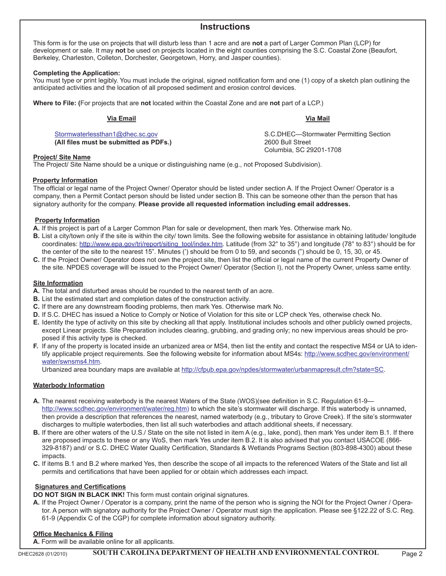## **Instructions**

This form is for the use on projects that will disturb less than 1 acre and are **not** a part of Larger Common Plan (LCP) for development or sale. It may **not** be used on projects located in the eight counties comprising the S.C. Coastal Zone (Beaufort, Berkeley, Charleston, Colleton, Dorchester, Georgetown, Horry, and Jasper counties).

## **Completing the Application:**

You must type or print legibly. You must include the original, signed notification form and one (1) copy of a sketch plan outlining the anticipated activities and the location of all proposed sediment and erosion control devices.

**Where to File: (**For projects that are **not** located within the Coastal Zone and are **not** part of a LCP.)

**Via Email Via Mail**

**(All files must be submitted as PDFs.)** 2600 Bull Street

[Stormwaterlessthan1@dhec.sc.gov](mailto:Stormwaterlessthan1@dhec.sc.gov) S.C.DHEC—Stormwater Permitting Section Columbia, SC 29201-1708

## **Project/ Site Name**

The Project/ Site Name should be a unique or distinguishing name (e.g., not Proposed Subdivision).

## **Property Information**

The official or legal name of the Project Owner/ Operator should be listed under section A. If the Project Owner/ Operator is a company, then a Permit Contact person should be listed under section B. This can be someone other than the person that has signatory authority for the company. **Please provide all requested information including email addresses.**

## **Property Information**

- **A.** If this project is part of a Larger Common Plan for sale or development, then mark Yes. Otherwise mark No.
- **B.** List a city/town only if the site is within the city/ town limits. See the following website for assistance in obtaining latitude/ longitude coordinates: [http://www.epa.gov/tri/report/siting\\_tool/index.htm.](http://www.epa.gov/tri/report/siting_tool/index.htm) Latitude (from 32° to 35°) and longitude (78° to 83°) should be for the center of the site to the nearest 15". Minutes (') should be from 0 to 59, and seconds (") should be 0, 15, 30, or 45.
- **C.** If the Project Owner/ Operator does not own the project site, then list the official or legal name of the current Property Owner of the site. NPDES coverage will be issued to the Project Owner/ Operator (Section I), not the Property Owner, unless same entity.

## **Site Information**

- **A.** The total and disturbed areas should be rounded to the nearest tenth of an acre.
- **B.** List the estimated start and completion dates of the construction activity.
- **C.** If there are any downstream flooding problems, then mark Yes. Otherwise mark No.
- **D.** If S.C. DHEC has issued a Notice to Comply or Notice of Violation for this site or LCP check Yes, otherwise check No.
- **E.** Identity the type of activity on this site by checking all that apply. Institutional includes schools and other publicly owned projects, except Linear projects. Site Preparation includes clearing, grubbing, and grading only; no new impervious areas should be proposed if this activity type is checked.
- **F.** If any of the property is located inside an urbanized area or MS4, then list the entity and contact the respective MS4 or UA to identify applicabl[e project requirements. See the following website for infor](http://www.scdhec.gov/environment/water/swnsms4.htm)mation about MS4s: http://www.scdhec.gov/environment/ [water/swnsms4.htm](http://cfpub.epa.gov/npdes/stormwater/urbanmapresult.cfm?state=SC).

Urbanized area boundary maps are available at http://cfpub.epa.gov/npdes/stormwater/urbanmapresult.cfm?state=SC.

#### **Waterbody Information**

- **A.** [The nearest receiving waterbody is the nearest Wa](http://www.scdhec.gov/environment/water/reg.htm)ters of the State (WOS)(see definition in S.C. Regulation 61-9 http://www.scdhec.gov/environment/water/reg.htm) to which the site's stormwater will discharge. If this waterbody is unnamed, then provide a description that references the nearest, named waterbody (e.g., tributary to Grove Creek). If the site's stormwater discharges to multiple waterbodies, then list all such waterbodies and attach additional sheets, if necessary.
- **B.** If there are other waters of the U.S./ State on the site not listed in item A (e.g., lake, pond), then mark Yes under item B.1. If there are proposed impacts to these or any WoS, then mark Yes under item B.2. It is also advised that you contact USACOE (866-329-8187) and/ or S.C. DHEC Water Quality Certification, Standards & Wetlands Programs Section (803-898-4300) about these impacts.
- **C.** If items B.1 and B.2 where marked Yes, then describe the scope of all impacts to the referenced Waters of the State and list all permits and certifications that have been applied for or obtain which addresses each impact.

## **Signatures and Certifications**

**DO NOT SIGN IN BLACK INK!** This form must contain original signatures.

**A.** If the Project Owner / Operator is a company, print the name of the person who is signing the NOI for the Project Owner / Operator. A person with signatory authority for the Project Owner / Operator must sign the application. Please see §122.22 of S.C. Reg. 61-9 (Appendix C of the CGP) for complete information about signatory authority.

## **Office Mechanics & Filing**

**A.** Form will be available online for all applicants.